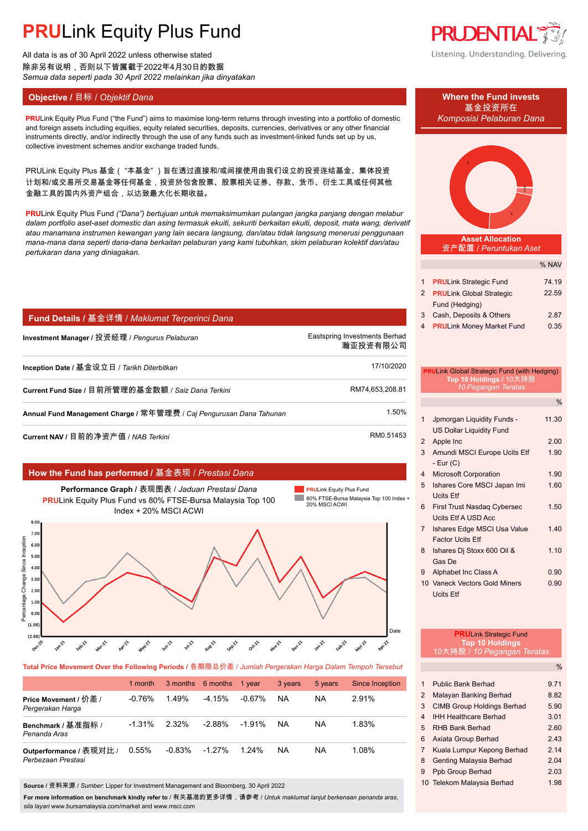All data is as of 30 April 2022 unless otherwise stated 除非另有说明,否则以下皆属截于2022年4月30日的数据 *Semua data seperti pada 30 April 2022 melainkan jika dinyatakan*

## **Objective /** 目标 / *Objektif Dana* **Where the Fund invests**

**PRU**Link Equity Plus Fund ("the Fund") aims to maximise long-term returns through investing into a portfolio of domestic *Komposisi Pelaburan Dana* and foreign assets including equities, equity related securities, deposits, currencies, derivatives or any other financial instruments directly, and/or indirectly through the use of any funds such as investment-linked funds set up by us collective investment schemes and/or exchange traded funds.

PRULink Equity Plus 基金( "本基金" )旨在透过直接和/或间接使用由我们设立的投资连结基金、集体投资 计划和/或交易所交易基金等任何基金,投资於包含股票、股票相关证券、存款、货币、衍生工具或任何其他 金融工具的国内外资产组合,以达致最大化长期收益。

**PRU**Link Equity Plus Fund *("Dana") bertujuan untuk memaksimumkan pulangan jangka panjang dengan melabur dalam portfolio aset-aset domestic dan asing termasuk ekuiti, sekuriti berkaitan ekuiti, deposit, mata wang, derivatif atau manamana instrumen kewangan yang lain secara langsung, dan/atau tidak langsung menerusi penggunaan mana-mana dana seperti dana-dana berkaitan pelaburan yang kami tubuhkan, skim pelaburan kolektif dan/atau pertukaran dana yang diniagakan.*

## **Fund Details /** 基金详情 / *Maklumat Terperinci Dana*

**Investment Manager /** 投资经理 / *Pengurus Pelaburan* enter the manager of the Eastspring Investments Berhad. 瀚亚投资有限公司. **Inception Date /** 基金设立日 / *Tarikh Diterbitkan* 17/10/2020. **Current Fund Size /** 目前所管理的基金数额 / *Saiz Dana Terkini* RM74,653,208.81. **Annual Fund Management Charge /** 常年管理费 / *Caj Pengurusan Dana Tahunan* 1.50%.

**Current NAV / 目前的净资产值 /** *NAB Terkini* **RM0.51453.** RM0.51453

## **How the Fund has performed /** 基金表现 / *Prestasi Dana*







**Total Price Movement Over the Following Periods /** 各期限总价差 / *Jumlah Pergerakan Harga Dalam Tempoh Tersebut*

|                                               | 1 month   | 3 months  | 6 months 1 vear |           | 3 years | 5 years | Since Inception |
|-----------------------------------------------|-----------|-----------|-----------------|-----------|---------|---------|-----------------|
| Price Movement / 价差 /<br>Pergerakan Harga     | $-0.76%$  | 1.49%     | $-4.15%$        | $-0.67\%$ | NA      | ΝA      | 2.91%           |
| Benchmark / 基准指标 /<br>Penanda Aras            | $-1.31\%$ | 2.32%     | -2.88%          | $-1.91\%$ | NA      | ΝA      | 1.83%           |
| Outperformance / 表现对比 /<br>Perbezaan Prestasi | 0.55%     | $-0.83\%$ | $-1.27\%$       | 1.24%     | NA      | NA      | 1.08%           |

**Source /** 资料来源 / *Sumber*: Lipper for Investment Management and Bloomberg, 30 April 2022

**For more information on benchmark kindly refer to** / 有关基准的更多详情,请参考 / *Untuk maklumat lanjut berkenaan penanda aras, sila layari* www.bursamalaysia.com/market and www.msci.com



Listening. Understanding. Delivering.





**Asset Allocation** 资产配置 / *Peruntukan Aset*

|   |                                  | % NAV |
|---|----------------------------------|-------|
|   |                                  | 74.19 |
|   | <b>PRULink Strategic Fund</b>    |       |
| 2 | <b>PRULink Global Strategic</b>  | 22.59 |
|   | Fund (Hedging)                   |       |
| 3 | Cash, Deposits & Others          | 2.87  |
|   | <b>PRULink Money Market Fund</b> | 0.35  |

# **PRU**Link Global Strategic Fund (with Hedging) **Top 10 Holdings /** 10大持股 *10 Pegangan Teratas*

|                |                                                               | %     |
|----------------|---------------------------------------------------------------|-------|
| 1              | Jpmorgan Liquidity Funds -<br><b>US Dollar Liquidity Fund</b> | 11.30 |
| 2              | Apple Inc                                                     | 2.00  |
| 3              | Amundi MSCI Europe Ucits Etf<br>- Eur (C)                     | 1.90  |
| 4              | <b>Microsoft Corporation</b>                                  | 1.90  |
| 5              | Ishares Core MSCI Japan Imi<br><b>Ucits Etf</b>               | 1.60  |
| 6              | First Trust Nasdaq Cybersec<br>Ucits Etf A USD Acc            | 1.50  |
| $\overline{7}$ | Ishares Edge MSCI Usa Value<br><b>Factor Ucits Etf</b>        | 1.40  |
| 8              | Ishares Di Stoxx 600 Oil &<br>Gas De                          | 1.10  |
| 9              | Alphabet Inc Class A                                          | 0.90  |
|                | 10 Vaneck Vectors Gold Miners<br>Ucits Ftf                    | 0.90  |

## **PRU**Link Strategic Fund **Top 10 Holdings**

10大持股 / *10 Pegangan Teratas*

|   |                                   | $\frac{0}{0}$ |
|---|-----------------------------------|---------------|
|   |                                   |               |
| 1 | <b>Public Bank Berhad</b>         | 9 71          |
| 2 | Malayan Banking Berhad            | 8.82          |
| 3 | <b>CIMB Group Holdings Berhad</b> | 5.90          |
| 4 | <b>IHH Healthcare Berhad</b>      | 3.01          |
| 5 | <b>RHB Bank Berhad</b>            | 2.60          |
| 6 | Axiata Group Berhad               | 243           |
| 7 | Kuala Lumpur Kepong Berhad        | 214           |
| 8 | Genting Malaysia Berhad           | 2.04          |
| 9 | Ppb Group Berhad                  | 2.03          |
|   | 10 Telekom Malaysia Berhad        | 1.98          |
|   |                                   |               |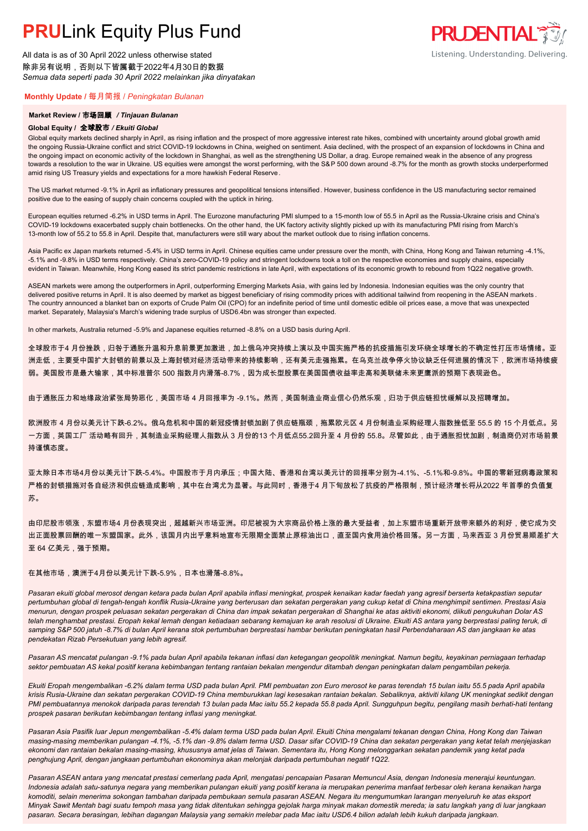All data is as of 30 April 2022 unless otherwise stated 除非另有说明,否则以下皆属截于2022年4月30日的数据 *Semua data seperti pada 30 April 2022 melainkan jika dinyatakan*

### **Monthly Update /** 每月简报 / *Peningkatan Bulanan*

### **Market Review /** 市场回顾 */ Tinjauan Bulanan*

#### **Global Equity /** 全球股市 */ Ekuiti Global.*

Global equity markets declined sharply in April, as rising inflation and the prospect of more aggressive interest rate hikes, combined with uncertainty around global growth amid the ongoing Russia-Ukraine conflict and strict COVID-19 lockdowns in China, weighed on sentiment. Asia declined, with the prospect of an expansion of lockdowns in China and the ongoing impact on economic activity of the lockdown in Shanghai, as well as the strengthening US Dollar, a drag. Europe remained weak in the absence of any progress towards a resolution to the war in Ukraine. US equities were amongst the worst performing, with the S&P 500 down around -8.7% for the month as growth stocks underperformed amid rising US Treasury yields and expectations for a more hawkish Federal Reserve.

The US market returned -9.1% in April as inflationary pressures and geopolitical tensions intensified. However, business confidence in the US manufacturing sector remained positive due to the easing of supply chain concerns coupled with the uptick in hiring.

European equities returned -6.2% in USD terms in April. The Eurozone manufacturing PMI slumped to a 15-month low of 55.5 in April as the Russia-Ukraine crisis and China's COVID-19 lockdowns exacerbated supply chain bottlenecks. On the other hand, the UK factory activity slightly picked up with its manufacturing PMI rising from March's 13-month low of 55.2 to 55.8 in April. Despite that, manufacturers were still wary about the market outlook due to rising inflation concerns.

Asia Pacific ex Japan markets returned -5.4% in USD terms in April. Chinese equities came under pressure over the month, with China, Hong Kong and Taiwan returning -4.1%, -5.1% and -9.8% in USD terms respectively. China's zero-COVID-19 policy and stringent lockdowns took a toll on the respective economies and supply chains, especially evident in Taiwan. Meanwhile, Hong Kong eased its strict pandemic restrictions in late April, with expectations of its economic growth to rebound from 1Q22 negative growth.

ASEAN markets were among the outperformers in April, outperforming Emerging Markets Asia, with gains led by Indonesia. Indonesian equities was the only country that delivered positive returns in April. It is also deemed by market as biggest beneficiary of rising commodity prices with additional tailwind from reopening in the ASEAN markets. The country announced a blanket ban on exports of Crude Palm Oil (CPO) for an indefinite period of time until domestic edible oil prices ease, a move that was unexpected market. Separately, Malaysia's March's widening trade surplus of USD6.4bn was stronger than expected.

In other markets, Australia returned -5.9% and Japanese equities returned -8.8% on a USD basis during April.

全球股市于4 月份挫跌,归咎于通胀升温和升息前景更加激进,加上俄乌冲突持续上演以及中国实施严格的抗疫措施引发环绕全球增长的不确定性打压市场情绪。亚 洲走低,主要受中国扩大封锁的前景以及上海封锁对经济活动带来的持续影响,还有美元走强拖累。在乌克兰战争停火协议缺乏任何进展的情况下,欧洲市场持续疲 弱。美国股市是最大输家,其中标准普尔 500 指数月内滑落-8.7%,因为成长型股票在美国国债收益率走高和美联储未来更鹰派的预期下表现逊色。

由于通胀压力和地缘政治紧张局势恶化,美国市场 4 月回报率为 -9.1%。然而,美国制造业商业信心仍然乐观,归功于供应链担忧缓解以及招聘增加。

欧洲股市 4 月份以美元计下跌-6.2%。俄乌危机和中国的新冠疫情封锁加剧了供应链瓶颈,拖累欧元区 4 月份制造业采购经理人指数挫低至 55.5 的 15 个月低点。另 一方面,英国工厂 活动略有回升,其制造业采购经理人指数从 3 月份的13 个月低点55.2回升至 4 月份的 55.8。尽管如此,由于通胀担忧加剧,制造商仍对市场前景 持谨慎态度。

亚太除日本市场4月份以美元计下跌-5.4%。中国股市于月内承压;中国大陆、香港和台湾以美元计的回报率分别为-4.1%、-5.1%和-9.8%。中国的零新冠病毒政策和 严格的封锁措施对各自经济和供应链造成影响,其中在台湾尤为显著。与此同时,香港于4 月下旬放松了抗疫的严格限制,预计经济增长将从2022 年首季的负值复 苏。

由印尼股市领涨,东盟市场4 月份表现突出,超越新兴市场亚洲。印尼被视为大宗商品价格上涨的最大受益者,加上东盟市场重新开放带来额外的利好,使它成为交 出正面股票回酬的唯一东盟国家。此外,该国月内出乎意料地宣布无限期全面禁止原棕油出口,直至国内食用油价格回落。另一方面,马来西亚 3 月份贸易顺差扩大 至 64 亿美元,强于预期。

#### 在其他市场,澳洲于4月份以美元计下跌-5.9%,日本也滑落-8.8%。

*Pasaran ekuiti global merosot dengan ketara pada bulan April apabila inflasi meningkat, prospek kenaikan kadar faedah yang agresif berserta ketakpastian seputar pertumbuhan global di tengah-tengah konflik Rusia-Ukraine yang berterusan dan sekatan pergerakan yang cukup ketat di China menghimpit sentimen. Prestasi Asia menurun, dengan prospek peluasan sekatan pergerakan di China dan impak sekatan pergerakan di Shanghai ke atas aktiviti ekonomi, diikuti pengukuhan Dolar AS telah menghambat prestasi. Eropah kekal lemah dengan ketiadaan sebarang kemajuan ke arah resolusi di Ukraine. Ekuiti AS antara yang berprestasi paling teruk, di samping S&P 500 jatuh -8.7% di bulan April kerana stok pertumbuhan berprestasi hambar berikutan peningkatan hasil Perbendaharaan AS dan jangkaan ke atas pendekatan Rizab Persekutuan yang lebih agresif.*

*Pasaran AS mencatat pulangan -9.1% pada bulan April apabila tekanan inflasi dan ketegangan geopolitik meningkat. Namun begitu, keyakinan perniagaan terhadap sektor pembuatan AS kekal positif kerana kebimbangan tentang rantaian bekalan mengendur ditambah dengan peningkatan dalam pengambilan pekerja.*

*Ekuiti Eropah mengembalikan -6.2% dalam terma USD pada bulan April. PMI pembuatan zon Euro merosot ke paras terendah 15 bulan iaitu 55.5 pada April apabila krisis Rusia-Ukraine dan sekatan pergerakan COVID-19 China memburukkan lagi kesesakan rantaian bekalan. Sebaliknya, aktiviti kilang UK meningkat sedikit dengan PMI pembuatannya menokok daripada paras terendah 13 bulan pada Mac iaitu 55.2 kepada 55.8 pada April. Sungguhpun begitu, pengilang masih berhati-hati tentang prospek pasaran berikutan kebimbangan tentang inflasi yang meningkat.*

*Pasaran Asia Pasifik luar Jepun mengembalikan -5.4% dalam terma USD pada bulan April. Ekuiti China mengalami tekanan dengan China, Hong Kong dan Taiwan masing-masing memberikan pulangan -4.1%, -5.1% dan -9.8% dalam terma USD. Dasar sifar COVID-19 China dan sekatan pergerakan yang ketat telah menjejaskan ekonomi dan rantaian bekalan masing-masing, khususnya amat jelas di Taiwan. Sementara itu, Hong Kong melonggarkan sekatan pandemik yang ketat pada penghujung April, dengan jangkaan pertumbuhan ekonominya akan melonjak daripada pertumbuhan negatif 1Q22.*

*Pasaran ASEAN antara yang mencatat prestasi cemerlang pada April, mengatasi pencapaian Pasaran Memuncul Asia, dengan Indonesia menerajui keuntungan. Indonesia adalah satu-satunya negara yang memberikan pulangan ekuiti yang positif kerana ia merupakan penerima manfaat terbesar oleh kerana kenaikan harga komoditi, selain menerima sokongan tambahan daripada pembukaan semula pasaran ASEAN. Negara itu mengumumkan larangan menyeluruh ke atas eksport Minyak Sawit Mentah bagi suatu tempoh masa yang tidak ditentukan sehingga gejolak harga minyak makan domestik mereda; ia satu langkah yang di luar jangkaan pasaran. Secara berasingan, lebihan dagangan Malaysia yang semakin melebar pada Mac iaitu USD6.4 bilion adalah lebih kukuh daripada jangkaan.*

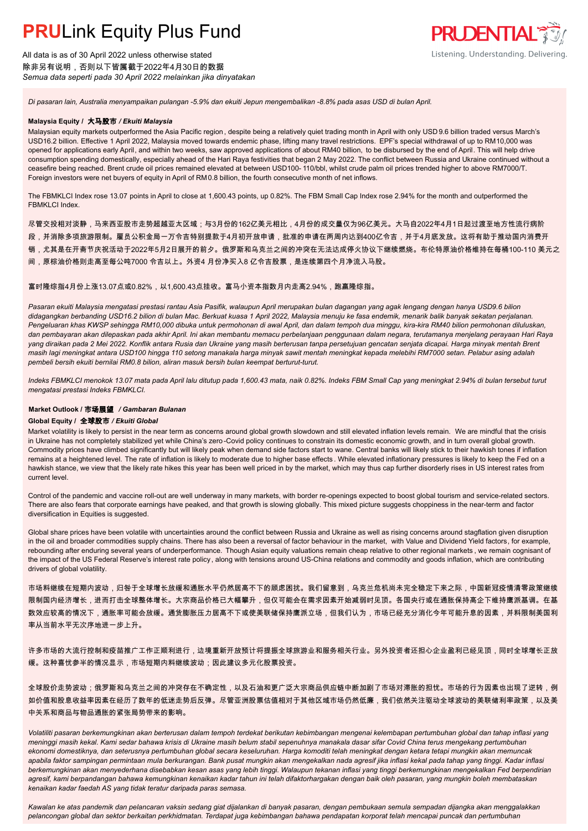All data is as of 30 April 2022 unless otherwise stated 除非另有说明,否则以下皆属截于2022年4月30日的数据 *Semua data seperti pada 30 April 2022 melainkan jika dinyatakan*



*Di pasaran lain, Australia menyampaikan pulangan -5.9% dan ekuiti Jepun mengembalikan -8.8% pada asas USD di bulan April.*

### **Malaysia Equity /** 大马股市 */ Ekuiti Malaysia.*

Malaysian equity markets outperformed the Asia Pacific region , despite being a relatively quiet trading month in April with only USD 9.6 billion traded versus March's USD16.2 billion. Effective 1 April 2022, Malaysia moved towards endemic phase, lifting many travel restrictions. EPF's special withdrawal of up to RM10,000 was opened for applications early April, and within two weeks, saw approved applications of about RM40 billion, to be disbursed by the end of April. This will help drive consumption spending domestically, especially ahead of the Hari Raya festivities that began 2 May 2022. The conflict between Russia and Ukraine continued without a ceasefire being reached. Brent crude oil prices remained elevated at between USD100- 110/bbl, whilst crude palm oil prices trended higher to above RM7000/T. Foreign investors were net buyers of equity in April of RM0.8 billion, the fourth consecutive month of net inflows.

The FBMKLCI Index rose 13.07 points in April to close at 1,600.43 points, up 0.82%. The FBM Small Cap Index rose 2.94% for the month and outperformed the FBMKLCI Index.

尽管交投相对淡静,马来西亚股市走势超越亚太区域;与3月份的162亿美元相比,4月份的成交量仅为96亿美元。大马自2022年4月1日起过渡至地方性流行病阶

- 段,并消除多项旅游限制。雇员公积金局一万令吉特别提款于4月初开放申请,批准的申请在两周内达到400亿令吉,并于4月底发放。这将有助于推动国内消费开
- 销,尤其是在开斋节庆祝活动于2022年5月2日展开的前夕。俄罗斯和乌克兰之间的冲突在无法达成停火协议下继续燃烧。布伦特原油价格维持在每桶100-110 美元之
- 间,原棕油价格则走高至每公吨7000 令吉以上。外资4 月份净买入8 亿令吉股票,是连续第四个月净流入马股。

### 富时隆综指4月份上涨13.07点或0.82%,以1,600.43点挂收。富马小资本指数月内走高2.94%,跑赢隆综指。

*Pasaran ekuiti Malaysia mengatasi prestasi rantau Asia Pasifik, walaupun April merupakan bulan dagangan yang agak lengang dengan hanya USD9.6 bilion didagangkan berbanding USD16.2 bilion di bulan Mac. Berkuat kuasa 1 April 2022, Malaysia menuju ke fasa endemik, menarik balik banyak sekatan perjalanan.*  Pengeluaran khas KWSP sehingga RM10,000 dibuka untuk permohonan di awal April, dan dalam tempoh dua minggu, kira-kira RM40 bilion permohonan diluluskan, *dan pembayaran akan dilepaskan pada akhir April. Ini akan membantu memacu perbelanjaan penggunaan dalam negara, terutamanya menjelang perayaan Hari Raya yang diraikan pada 2 Mei 2022. Konflik antara Rusia dan Ukraine yang masih berterusan tanpa persetujuan gencatan senjata dicapai. Harga minyak mentah Brent masih lagi meningkat antara USD100 hingga 110 setong manakala harga minyak sawit mentah meningkat kepada melebihi RM7000 setan. Pelabur asing adalah pembeli bersih ekuiti bernilai RM0.8 bilion, aliran masuk bersih bulan keempat berturut-turut.*

*Indeks FBMKLCI menokok 13.07 mata pada April lalu ditutup pada 1,600.43 mata, naik 0.82%. Indeks FBM Small Cap yang meningkat 2.94% di bulan tersebut turut mengatasi prestasi Indeks FBMKLCI.*

## **Market Outlook /** 市场展望 */ Gambaran Bulanan*

## **Global Equity /** 全球股市 */ Ekuiti Global.*

Market volatility is likely to persist in the near term as concerns around global growth slowdown and still elevated inflation levels remain. We are mindful that the crisis in Ukraine has not completely stabilized yet while China's zero-Covid policy continues to constrain its domestic economic growth, and in turn overall global growth. Commodity prices have climbed significantly but will likely peak when demand side factors start to wane. Central banks will likely stick to their hawkish tones if inflation remains at a heightened level. The rate of inflation is likely to moderate due to higher base effects. While elevated inflationary pressures is likely to keep the Fed on a hawkish stance, we view that the likely rate hikes this year has been well priced in by the market, which may thus cap further disorderly rises in US interest rates from current level.

Control of the pandemic and vaccine roll-out are well underway in many markets, with border re-openings expected to boost global tourism and service-related sectors. There are also fears that corporate earnings have peaked, and that growth is slowing globally. This mixed picture suggests choppiness in the near-term and factor diversification in Equities is suggested.

Global share prices have been volatile with uncertainties around the conflict between Russia and Ukraine as well as rising concerns around stagflation given disruption in the oil and broader commodities supply chains. There has also been a reversal of factor behaviour in the market, with Value and Dividend Yield factors, for example, rebounding after enduring several years of underperformance. Though Asian equity valuations remain cheap relative to other regional markets , we remain cognisant of the impact of the US Federal Reserve's interest rate policy , along with tensions around US-China relations and commodity and goods inflation, which are contributing drivers of global volatility.

市场料继续在短期内波动,归咎于全球增长放缓和通胀水平仍然居高不下的顾虑困扰。我们留意到,乌克兰危机尚未完全稳定下来之际,中国新冠疫情清零政策继续 限制国内经济增长,进而打击全球整体增长。大宗商品价格已大幅攀升,但仅可能会在需求因素开始减弱时见顶。各国央行或在通胀保持高企下维持鹰派基调。在基 数效应较高的情况下,通胀率可能会放缓。通货膨胀压力居高不下或使美联储保持鹰派立场,但我们认为,市场已经充分消化今年可能升息的因素,并料限制美国利 率从当前水平无次序地进一步上升。

许多市场的大流行控制和疫苗推广工作正顺利进行,边境重新开放预计将提振全球旅游业和服务相关行业。另外投资者还担心企业盈利已经见顶,同时全球增长正放 缓。这种喜忧参半的情况显示,市场短期内料继续波动;因此建议多元化股票投资。

全球股价走势波动;俄罗斯和乌克兰之间的冲突存在不确定性,以及石油和更广泛大宗商品供应链中断加剧了市场对滞胀的担忧。市场的行为因素也出现了逆转,例 如价值和股息收益率因素在经历了数年的低迷走势后反弹。尽管亚洲股票估值相对于其他区域市场仍然低廉,我们依然关注驱动全球波动的美联储利率政策,以及美 中关系和商品与物品通胀的紧张局势带来的影响。

*Volatiliti pasaran berkemungkinan akan berterusan dalam tempoh terdekat berikutan kebimbangan mengenai kelembapan pertumbuhan global dan tahap inflasi yang meninggi masih kekal. Kami sedar bahawa krisis di Ukraine masih belum stabil sepenuhnya manakala dasar sifar Covid China terus mengekang pertumbuhan ekonomi domestiknya, dan seterusnya pertumbuhan global secara keseluruhan. Harga komoditi telah meningkat dengan ketara tetapi mungkin akan memuncak apabila faktor sampingan permintaan mula berkurangan. Bank pusat mungkin akan mengekalkan nada agresif jika inflasi kekal pada tahap yang tinggi. Kadar inflasi berkemungkinan akan menyederhana disebabkan kesan asas yang lebih tinggi. Walaupun tekanan inflasi yang tinggi berkemungkinan mengekalkan Fed berpendirian agresif, kami berpandangan bahawa kemungkinan kenaikan kadar tahun ini telah difaktorhargakan dengan baik oleh pasaran, yang mungkin boleh membataskan kenaikan kadar faedah AS yang tidak teratur daripada paras semasa.*

*Kawalan ke atas pandemik dan pelancaran vaksin sedang giat dijalankan di banyak pasaran, dengan pembukaan semula sempadan dijangka akan menggalakkan pelancongan global dan sektor berkaitan perkhidmatan. Terdapat juga kebimbangan bahawa pendapatan korporat telah mencapai puncak dan pertumbuhan*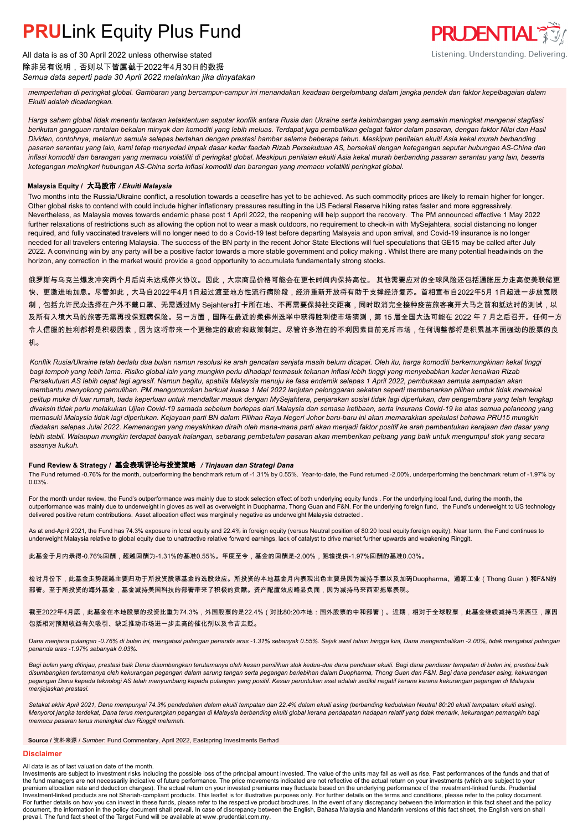All data is as of 30 April 2022 unless otherwise stated 除非另有说明,否则以下皆属截于2022年4月30日的数据 *Semua data seperti pada 30 April 2022 melainkan jika dinyatakan*

*memperlahan di peringkat global. Gambaran yang bercampur-campur ini menandakan keadaan bergelombang dalam jangka pendek dan faktor kepelbagaian dalam Ekuiti adalah dicadangkan.*

**PRUDENTIAL** 

Listening. Understanding. Delivering.

*Harga saham global tidak menentu lantaran ketaktentuan seputar konflik antara Rusia dan Ukraine serta kebimbangan yang semakin meningkat mengenai stagflasi berikutan gangguan rantaian bekalan minyak dan komoditi yang lebih meluas. Terdapat juga pembalikan gelagat faktor dalam pasaran, dengan faktor Nilai dan Hasil Dividen, contohnya, melantun semula selepas bertahan dengan prestasi hambar selama beberapa tahun. Meskipun penilaian ekuiti Asia kekal murah berbanding pasaran serantau yang lain, kami tetap menyedari impak dasar kadar faedah Rizab Persekutuan AS, bersekali dengan ketegangan seputar hubungan AS-China dan inflasi komoditi dan barangan yang memacu volatiliti di peringkat global. Meskipun penilaian ekuiti Asia kekal murah berbanding pasaran serantau yang lain, beserta ketegangan melingkari hubungan AS-China serta inflasi komoditi dan barangan yang memacu volatiliti peringkat global.*

### **Malaysia Equity /** 大马股市 */ Ekuiti Malaysia.*

Two months into the Russia/Ukraine conflict, a resolution towards a ceasefire has yet to be achieved. As such commodity prices are likely to remain higher for longer. Other global risks to contend with could include higher inflationary pressures resulting in the US Federal Reserve hiking rates faster and more aggressively. Nevertheless, as Malaysia moves towards endemic phase post 1 April 2022, the reopening will help support the recovery. The PM announced effective 1 May 2022 further relaxations of restrictions such as allowing the option not to wear a mask outdoors, no requirement to check-in with MySejahtera, social distancing no longer required, and fully vaccinated travelers will no longer need to do a Covid-19 test before departing Malaysia and upon arrival, and Covid-19 insurance is no longer needed for all travelers entering Malaysia. The success of the BN party in the recent Johor State Elections will fuel speculations that GE15 may be called after July 2022. A convincing win by any party will be a positive factor towards a more stable government and policy making . Whilst there are many potential headwinds on the horizon, any correction in the market would provide a good opportunity to accumulate fundamentally strong stocks.

俄罗斯与乌克兰爆发冲突两个月后尚未达成停火协议。因此,大宗商品价格可能会在更长时间内保持高位。 其他需要应对的全球风险还包括通胀压力走高使美联储更 快、更激进地加息。尽管如此,大马自2022年4月1日起过渡至地方性流行病阶段,经济重新开放将有助于支撑经济复苏。首相宣布自2022年5月 1日起进一步放宽限 制,包括允许民众选择在户外不戴口罩、无需透过My Sejahtera打卡所在地、不再需要保持社交距离,同时取消完全接种疫苗旅客离开大马之前和抵达时的测试,以 及所有入境大马的旅客无需再投保冠病保险。另一方面,国阵在最近的柔佛州选举中获得胜利使市场猜测,第 15 届全国大选可能在 2022 年 7 月之后召开。任何一方 令人信服的胜利都将是积极因素,因为这将带来一个更稳定的政府和政策制定。尽管许多潜在的不利因素目前充斥市场,任何调整都将是积累基本面强劲的股票的良 机。

*Konflik Rusia/Ukraine telah berlalu dua bulan namun resolusi ke arah gencatan senjata masih belum dicapai. Oleh itu, harga komoditi berkemungkinan kekal tinggi bagi tempoh yang lebih lama. Risiko global lain yang mungkin perlu dihadapi termasuk tekanan inflasi lebih tinggi yang menyebabkan kadar kenaikan Rizab Persekutuan AS lebih cepat lagi agresif. Namun begitu, apabila Malaysia menuju ke fasa endemik selepas 1 April 2022, pembukaan semula sempadan akan membantu menyokong pemulihan. PM mengumumkan berkuat kuasa 1 Mei 2022 lanjutan pelonggaran sekatan seperti membenarkan pilihan untuk tidak memakai pelitup muka di luar rumah, tiada keperluan untuk mendaftar masuk dengan MySejahtera, penjarakan sosial tidak lagi diperlukan, dan pengembara yang telah lengkap divaksin tidak perlu melakukan Ujian Covid-19 samada sebelum berlepas dari Malaysia dan semasa ketibaan, serta insurans Covid-19 ke atas semua pelancong yang memasuki Malaysia tidak lagi diperlukan. Kejayaan parti BN dalam Pilihan Raya Negeri Johor baru-baru ini akan memarakkan spekulasi bahawa PRU15 mungkin diadakan selepas Julai 2022. Kemenangan yang meyakinkan diraih oleh mana-mana parti akan menjadi faktor positif ke arah pembentukan kerajaan dan dasar yang lebih stabil. Walaupun mungkin terdapat banyak halangan, sebarang pembetulan pasaran akan memberikan peluang yang baik untuk mengumpul stok yang secara asasnya kukuh.*

### **Fund Review & Strategy /** 基金表现评论与投资策略 */ Tinjauan dan Strategi Dana*

The Fund returned -0.76% for the month, outperforming the benchmark return of -1.31% by 0.55%. Year-to-date, the Fund returned -2.00%, underperforming the benchmark return of -1.97% by 0.03%.

For the month under review, the Fund's outperformance was mainly due to stock selection effect of both underlying equity funds . For the underlying local fund, during the month, the outperformance was mainly due to underweight in gloves as well as overweight in Duopharma, Thong Guan and F&N. For the underlying foreign fund, the Fund's underweight to US technology delivered positive return contributions. Asset allocation effect was marginally negative as underweight Malaysia detracted .

As at end-April 2021, the Fund has 74.3% exposure in local equity and 22.4% in foreign equity (versus Neutral position of 80:20 local equity:foreign equity). Near term, the Fund continues to underweight Malaysia relative to global equity due to unattractive relative forward earnings, lack of catalyst to drive market further upwards and weakening Ringgit.

此基金于月内录得-0.76%回酬,超越回酬为-1.31%的基准0.55%。年度至今,基金的回酬是-2.00%,跑输提供-1.97%回酬的基准0.03%。

检讨月份下,此基金走势超越主要归功于所投资股票基金的选股效应。所投资的本地基金月内表现出色主要是因为减持手套以及加码Duopharma、通源工业(Thong Guan)和F&N的 部署。至于所投资的海外基金,基金减持美国科技的部署带来了积极的贡献。资产配置效应略显负面,因为减持马来西亚拖累表现。

截至2022年4月底,此基金在本地股票的投资比重为74.3%,外国股票的是22.4%(对比80:20本地:国外股票的中和部署)。近期,相对于全球股票,此基金继续减持马来西亚,原因 包括相对预期收益有欠吸引、缺乏推动市场进一步走高的催化剂以及令吉走贬。

*Dana menjana pulangan -0.76% di bulan ini, mengatasi pulangan penanda aras -1.31% sebanyak 0.55%. Sejak awal tahun hingga kini, Dana mengembalikan -2.00%, tidak mengatasi pulangan penanda aras -1.97% sebanyak 0.03%.*

Bagi bulan yang ditinjau, prestasi baik Dana disumbangkan terutamanya oleh kesan pemilihan stok kedua-dua dana pendasar ekuiti. Bagi dana pendasar tempatan di bulan ini, prestasi baik *disumbangkan terutamanya oleh kekurangan pegangan dalam sarung tangan serta pegangan berlebihan dalam Duopharma, Thong Guan dan F&N. Bagi dana pendasar asing, kekurangan pegangan Dana kepada teknologi AS telah menyumbang kepada pulangan yang positif. Kesan peruntukan aset adalah sedikit negatif kerana kerana kekurangan pegangan di Malaysia menjejaskan prestasi.*

Setakat akhir April 2021, Dana mempunyai 74.3% pendedahan dalam ekuiti tempatan dan 22.4% dalam ekuiti asing (berbanding kedudukan Neutral 80:20 ekuiti tempatan: ekuiti asing). *Menyorot jangka terdekat, Dana terus mengurangkan pegangan di Malaysia berbanding ekuiti global kerana pendapatan hadapan relatif yang tidak menarik, kekurangan pemangkin bagi memacu pasaran terus meningkat dan Ringgit melemah.*

**Source /** 资料来源 / *Sumber*: Fund Commentary, April 2022, Eastspring Investments Berhad

#### **Disclaimer**

All data is as of last valuation date of the month.

Investments are subject to investment risks including the possible loss of the principal amount invested. The value of the units may fall as well as rise. Past performances of the funds and that of the fund managers are not necessarily indicative of future performance. The price movements indicated are not reflective of the actual return on your investments (which are subject to your premium allocation rate and deduction charges). The actual return on your invested premiums may fluctuate based on the underlying performance of the investment-linked funds. Prudential<br>Investment-linked products are not Sh For further details on how you can invest in these funds, please refer to the respective product brochures. In the event of any discrepancy between the information in this fact sheet and the policy<br>document, the informatio prevail. The fund fact sheet of the Target Fund will be available at www .prudential.com.my.